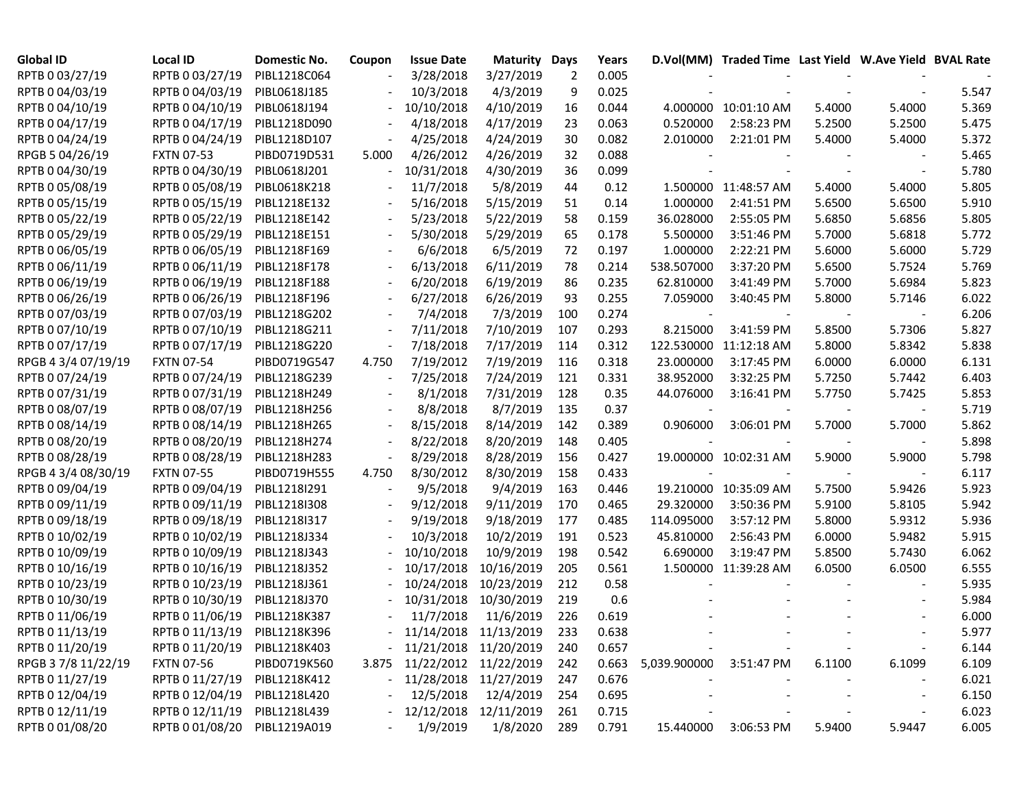| <b>Global ID</b>    | Local ID                     | Domestic No. | Coupon         | <b>Issue Date</b>           | <b>Maturity Days</b> |     | Years |                          | D.Vol(MM) Traded Time Last Yield W.Ave Yield BVAL Rate |        |        |       |
|---------------------|------------------------------|--------------|----------------|-----------------------------|----------------------|-----|-------|--------------------------|--------------------------------------------------------|--------|--------|-------|
| RPTB 0 03/27/19     | RPTB 0 03/27/19              | PIBL1218C064 |                | 3/28/2018                   | 3/27/2019            | 2   | 0.005 |                          |                                                        |        |        |       |
| RPTB 0 04/03/19     | RPTB 0 04/03/19              | PIBL0618J185 |                | 10/3/2018                   | 4/3/2019             | 9   | 0.025 |                          |                                                        |        |        | 5.547 |
| RPTB 0 04/10/19     | RPTB 0 04/10/19              | PIBL0618J194 |                | 10/10/2018                  | 4/10/2019            | 16  | 0.044 |                          | 4.000000 10:01:10 AM                                   | 5.4000 | 5.4000 | 5.369 |
| RPTB 0 04/17/19     | RPTB 0 04/17/19              | PIBL1218D090 |                | 4/18/2018                   | 4/17/2019            | 23  | 0.063 | 0.520000                 | 2:58:23 PM                                             | 5.2500 | 5.2500 | 5.475 |
| RPTB 0 04/24/19     | RPTB 0 04/24/19              | PIBL1218D107 |                | 4/25/2018                   | 4/24/2019            | 30  | 0.082 | 2.010000                 | 2:21:01 PM                                             | 5.4000 | 5.4000 | 5.372 |
| RPGB 5 04/26/19     | <b>FXTN 07-53</b>            | PIBD0719D531 | 5.000          | 4/26/2012                   | 4/26/2019            | 32  | 0.088 |                          |                                                        |        |        | 5.465 |
| RPTB 0 04/30/19     | RPTB 0 04/30/19              | PIBL0618J201 |                | 10/31/2018                  | 4/30/2019            | 36  | 0.099 |                          |                                                        |        |        | 5.780 |
| RPTB 0 05/08/19     | RPTB 0 05/08/19              | PIBL0618K218 |                | 11/7/2018                   | 5/8/2019             | 44  | 0.12  |                          | 1.500000 11:48:57 AM                                   | 5.4000 | 5.4000 | 5.805 |
| RPTB 0 05/15/19     | RPTB 0 05/15/19              | PIBL1218E132 |                | 5/16/2018                   | 5/15/2019            | 51  | 0.14  | 1.000000                 | 2:41:51 PM                                             | 5.6500 | 5.6500 | 5.910 |
| RPTB 0 05/22/19     | RPTB 0 05/22/19              | PIBL1218E142 |                | 5/23/2018                   | 5/22/2019            | 58  | 0.159 | 36.028000                | 2:55:05 PM                                             | 5.6850 | 5.6856 | 5.805 |
| RPTB 0 05/29/19     | RPTB 0 05/29/19              | PIBL1218E151 |                | 5/30/2018                   | 5/29/2019            | 65  | 0.178 | 5.500000                 | 3:51:46 PM                                             | 5.7000 | 5.6818 | 5.772 |
| RPTB 0 06/05/19     | RPTB 0 06/05/19              | PIBL1218F169 |                | 6/6/2018                    | 6/5/2019             | 72  | 0.197 | 1.000000                 | 2:22:21 PM                                             | 5.6000 | 5.6000 | 5.729 |
| RPTB 0 06/11/19     | RPTB 0 06/11/19              | PIBL1218F178 |                | 6/13/2018                   | 6/11/2019            | 78  | 0.214 | 538.507000               | 3:37:20 PM                                             | 5.6500 | 5.7524 | 5.769 |
| RPTB 0 06/19/19     | RPTB 0 06/19/19              | PIBL1218F188 |                | 6/20/2018                   | 6/19/2019            | 86  | 0.235 | 62.810000                | 3:41:49 PM                                             | 5.7000 | 5.6984 | 5.823 |
| RPTB 0 06/26/19     | RPTB 0 06/26/19              | PIBL1218F196 |                | 6/27/2018                   | 6/26/2019            | 93  | 0.255 | 7.059000                 | 3:40:45 PM                                             | 5.8000 | 5.7146 | 6.022 |
| RPTB 0 07/03/19     | RPTB 0 07/03/19              | PIBL1218G202 |                | 7/4/2018                    | 7/3/2019             | 100 | 0.274 | $\overline{\phantom{a}}$ |                                                        |        |        | 6.206 |
| RPTB 0 07/10/19     | RPTB 0 07/10/19              | PIBL1218G211 |                | 7/11/2018                   | 7/10/2019            | 107 | 0.293 | 8.215000                 | 3:41:59 PM                                             | 5.8500 | 5.7306 | 5.827 |
| RPTB 0 07/17/19     | RPTB 0 07/17/19              | PIBL1218G220 |                | 7/18/2018                   | 7/17/2019            | 114 | 0.312 |                          | 122.530000 11:12:18 AM                                 | 5.8000 | 5.8342 | 5.838 |
| RPGB 4 3/4 07/19/19 | <b>FXTN 07-54</b>            | PIBD0719G547 | 4.750          | 7/19/2012                   | 7/19/2019            | 116 | 0.318 | 23.000000                | 3:17:45 PM                                             | 6.0000 | 6.0000 | 6.131 |
| RPTB 0 07/24/19     | RPTB 0 07/24/19              | PIBL1218G239 |                | 7/25/2018                   | 7/24/2019            | 121 | 0.331 | 38.952000                | 3:32:25 PM                                             | 5.7250 | 5.7442 | 6.403 |
| RPTB 0 07/31/19     | RPTB 0 07/31/19              | PIBL1218H249 | $\blacksquare$ | 8/1/2018                    | 7/31/2019            | 128 | 0.35  | 44.076000                | 3:16:41 PM                                             | 5.7750 | 5.7425 | 5.853 |
| RPTB 0 08/07/19     | RPTB 0 08/07/19              | PIBL1218H256 | $\blacksquare$ | 8/8/2018                    | 8/7/2019             | 135 | 0.37  | $\overline{\phantom{a}}$ |                                                        |        |        | 5.719 |
| RPTB 0 08/14/19     | RPTB 0 08/14/19              | PIBL1218H265 |                | 8/15/2018                   | 8/14/2019            | 142 | 0.389 | 0.906000                 | 3:06:01 PM                                             | 5.7000 | 5.7000 | 5.862 |
| RPTB 0 08/20/19     | RPTB 0 08/20/19              | PIBL1218H274 |                | 8/22/2018                   | 8/20/2019            | 148 | 0.405 |                          |                                                        |        |        | 5.898 |
| RPTB 0 08/28/19     | RPTB 0 08/28/19              | PIBL1218H283 |                | 8/29/2018                   | 8/28/2019            | 156 | 0.427 |                          | 19.000000 10:02:31 AM                                  | 5.9000 | 5.9000 | 5.798 |
| RPGB 4 3/4 08/30/19 | <b>FXTN 07-55</b>            | PIBD0719H555 | 4.750          | 8/30/2012                   | 8/30/2019            | 158 | 0.433 |                          |                                                        |        |        | 6.117 |
| RPTB 0 09/04/19     | RPTB 0 09/04/19              | PIBL1218I291 |                | 9/5/2018                    | 9/4/2019             | 163 | 0.446 |                          | 19.210000 10:35:09 AM                                  | 5.7500 | 5.9426 | 5.923 |
| RPTB 0 09/11/19     | RPTB 0 09/11/19              | PIBL1218I308 |                | 9/12/2018                   | 9/11/2019            | 170 | 0.465 | 29.320000                | 3:50:36 PM                                             | 5.9100 | 5.8105 | 5.942 |
| RPTB 0 09/18/19     | RPTB 0 09/18/19              | PIBL1218I317 |                | 9/19/2018                   | 9/18/2019            | 177 | 0.485 | 114.095000               | 3:57:12 PM                                             | 5.8000 | 5.9312 | 5.936 |
| RPTB 0 10/02/19     | RPTB 0 10/02/19              | PIBL1218J334 |                | 10/3/2018                   | 10/2/2019            | 191 | 0.523 | 45.810000                | 2:56:43 PM                                             | 6.0000 | 5.9482 | 5.915 |
| RPTB 0 10/09/19     | RPTB 0 10/09/19              | PIBL1218J343 |                | 10/10/2018                  | 10/9/2019            | 198 | 0.542 | 6.690000                 | 3:19:47 PM                                             | 5.8500 | 5.7430 | 6.062 |
| RPTB 0 10/16/19     | RPTB 0 10/16/19              | PIBL1218J352 |                | 10/17/2018                  | 10/16/2019           | 205 | 0.561 |                          | 1.500000 11:39:28 AM                                   | 6.0500 | 6.0500 | 6.555 |
| RPTB 0 10/23/19     | RPTB 0 10/23/19              | PIBL1218J361 |                | 10/24/2018                  | 10/23/2019           | 212 | 0.58  |                          |                                                        |        |        | 5.935 |
| RPTB 0 10/30/19     | RPTB 0 10/30/19              | PIBL1218J370 |                | 10/31/2018                  | 10/30/2019           | 219 | 0.6   |                          |                                                        |        |        | 5.984 |
| RPTB 0 11/06/19     | RPTB 0 11/06/19              | PIBL1218K387 |                | 11/7/2018                   | 11/6/2019            | 226 | 0.619 |                          |                                                        |        |        | 6.000 |
| RPTB 0 11/13/19     | RPTB 0 11/13/19              | PIBL1218K396 |                | - 11/14/2018 11/13/2019     |                      | 233 | 0.638 |                          |                                                        |        |        | 5.977 |
| RPTB 0 11/20/19     | RPTB 0 11/20/19              | PIBL1218K403 |                | $-11/21/2018$ $11/20/2019$  |                      | 240 | 0.657 |                          |                                                        |        |        | 6.144 |
| RPGB 3 7/8 11/22/19 | <b>FXTN 07-56</b>            | PIBD0719K560 |                | 3.875 11/22/2012 11/22/2019 |                      | 242 | 0.663 | 5,039.900000 3:51:47 PM  |                                                        | 6.1100 | 6.1099 | 6.109 |
| RPTB 0 11/27/19     | RPTB 0 11/27/19 PIBL1218K412 |              |                | - 11/28/2018 11/27/2019     |                      | 247 | 0.676 |                          |                                                        |        |        | 6.021 |
| RPTB 0 12/04/19     | RPTB 0 12/04/19              | PIBL1218L420 |                | 12/5/2018                   | 12/4/2019            | 254 | 0.695 |                          |                                                        |        |        | 6.150 |
| RPTB 0 12/11/19     | RPTB 0 12/11/19              | PIBL1218L439 |                | $-12/12/2018$               | 12/11/2019           | 261 | 0.715 |                          |                                                        |        |        | 6.023 |
| RPTB 0 01/08/20     | RPTB 0 01/08/20              | PIBL1219A019 |                | 1/9/2019                    | 1/8/2020             | 289 | 0.791 | 15.440000                | 3:06:53 PM                                             | 5.9400 | 5.9447 | 6.005 |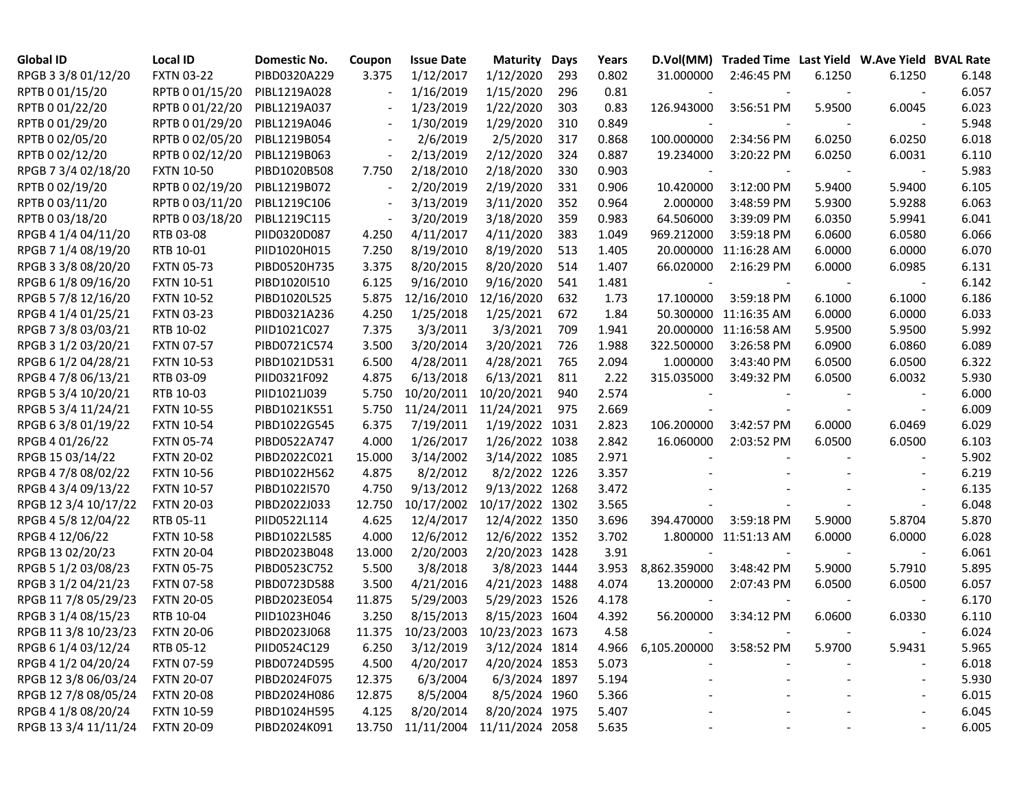| <b>Global ID</b>     | <b>Local ID</b>   | Domestic No. | Coupon                   | <b>Issue Date</b>                 | <b>Maturity</b> | Days | Years |              | D.Vol(MM) Traded Time Last Yield W.Ave Yield BVAL Rate |        |        |       |
|----------------------|-------------------|--------------|--------------------------|-----------------------------------|-----------------|------|-------|--------------|--------------------------------------------------------|--------|--------|-------|
| RPGB 3 3/8 01/12/20  | <b>FXTN 03-22</b> | PIBD0320A229 | 3.375                    | 1/12/2017                         | 1/12/2020       | 293  | 0.802 | 31.000000    | 2:46:45 PM                                             | 6.1250 | 6.1250 | 6.148 |
| RPTB 0 01/15/20      | RPTB 0 01/15/20   | PIBL1219A028 |                          | 1/16/2019                         | 1/15/2020       | 296  | 0.81  |              |                                                        |        |        | 6.057 |
| RPTB 0 01/22/20      | RPTB 0 01/22/20   | PIBL1219A037 |                          | 1/23/2019                         | 1/22/2020       | 303  | 0.83  | 126.943000   | 3:56:51 PM                                             | 5.9500 | 6.0045 | 6.023 |
| RPTB 0 01/29/20      | RPTB 0 01/29/20   | PIBL1219A046 |                          | 1/30/2019                         | 1/29/2020       | 310  | 0.849 |              |                                                        |        |        | 5.948 |
| RPTB 0 02/05/20      | RPTB 0 02/05/20   | PIBL1219B054 |                          | 2/6/2019                          | 2/5/2020        | 317  | 0.868 | 100.000000   | 2:34:56 PM                                             | 6.0250 | 6.0250 | 6.018 |
| RPTB 0 02/12/20      | RPTB 0 02/12/20   | PIBL1219B063 | $\overline{\phantom{a}}$ | 2/13/2019                         | 2/12/2020       | 324  | 0.887 | 19.234000    | 3:20:22 PM                                             | 6.0250 | 6.0031 | 6.110 |
| RPGB 7 3/4 02/18/20  | <b>FXTN 10-50</b> | PIBD1020B508 | 7.750                    | 2/18/2010                         | 2/18/2020       | 330  | 0.903 |              |                                                        |        |        | 5.983 |
| RPTB 0 02/19/20      | RPTB 0 02/19/20   | PIBL1219B072 |                          | 2/20/2019                         | 2/19/2020       | 331  | 0.906 | 10.420000    | 3:12:00 PM                                             | 5.9400 | 5.9400 | 6.105 |
| RPTB 0 03/11/20      | RPTB 0 03/11/20   | PIBL1219C106 |                          | 3/13/2019                         | 3/11/2020       | 352  | 0.964 | 2.000000     | 3:48:59 PM                                             | 5.9300 | 5.9288 | 6.063 |
| RPTB 0 03/18/20      | RPTB 0 03/18/20   | PIBL1219C115 |                          | 3/20/2019                         | 3/18/2020       | 359  | 0.983 | 64.506000    | 3:39:09 PM                                             | 6.0350 | 5.9941 | 6.041 |
| RPGB 4 1/4 04/11/20  | RTB 03-08         | PIID0320D087 | 4.250                    | 4/11/2017                         | 4/11/2020       | 383  | 1.049 | 969.212000   | 3:59:18 PM                                             | 6.0600 | 6.0580 | 6.066 |
| RPGB 7 1/4 08/19/20  | RTB 10-01         | PIID1020H015 | 7.250                    | 8/19/2010                         | 8/19/2020       | 513  | 1.405 |              | 20.000000 11:16:28 AM                                  | 6.0000 | 6.0000 | 6.070 |
| RPGB 3 3/8 08/20/20  | <b>FXTN 05-73</b> | PIBD0520H735 | 3.375                    | 8/20/2015                         | 8/20/2020       | 514  | 1.407 | 66.020000    | 2:16:29 PM                                             | 6.0000 | 6.0985 | 6.131 |
| RPGB 6 1/8 09/16/20  | <b>FXTN 10-51</b> | PIBD1020I510 | 6.125                    | 9/16/2010                         | 9/16/2020       | 541  | 1.481 |              |                                                        |        |        | 6.142 |
| RPGB 5 7/8 12/16/20  | <b>FXTN 10-52</b> | PIBD1020L525 | 5.875                    | 12/16/2010                        | 12/16/2020      | 632  | 1.73  | 17.100000    | 3:59:18 PM                                             | 6.1000 | 6.1000 | 6.186 |
| RPGB 4 1/4 01/25/21  | <b>FXTN 03-23</b> | PIBD0321A236 | 4.250                    | 1/25/2018                         | 1/25/2021       | 672  | 1.84  |              | 50.300000 11:16:35 AM                                  | 6.0000 | 6.0000 | 6.033 |
| RPGB 7 3/8 03/03/21  | RTB 10-02         | PIID1021C027 | 7.375                    | 3/3/2011                          | 3/3/2021        | 709  | 1.941 |              | 20.000000 11:16:58 AM                                  | 5.9500 | 5.9500 | 5.992 |
| RPGB 3 1/2 03/20/21  | <b>FXTN 07-57</b> | PIBD0721C574 | 3.500                    | 3/20/2014                         | 3/20/2021       | 726  | 1.988 | 322.500000   | 3:26:58 PM                                             | 6.0900 | 6.0860 | 6.089 |
| RPGB 6 1/2 04/28/21  | <b>FXTN 10-53</b> | PIBD1021D531 | 6.500                    | 4/28/2011                         | 4/28/2021       | 765  | 2.094 | 1.000000     | 3:43:40 PM                                             | 6.0500 | 6.0500 | 6.322 |
| RPGB 4 7/8 06/13/21  | RTB 03-09         | PIID0321F092 | 4.875                    | 6/13/2018                         | 6/13/2021       | 811  | 2.22  | 315.035000   | 3:49:32 PM                                             | 6.0500 | 6.0032 | 5.930 |
| RPGB 5 3/4 10/20/21  | RTB 10-03         | PIID1021J039 | 5.750                    | 10/20/2011                        | 10/20/2021      | 940  | 2.574 |              |                                                        |        |        | 6.000 |
| RPGB 5 3/4 11/24/21  | <b>FXTN 10-55</b> | PIBD1021K551 | 5.750                    | 11/24/2011                        | 11/24/2021      | 975  | 2.669 |              |                                                        |        |        | 6.009 |
| RPGB 63/8 01/19/22   | <b>FXTN 10-54</b> | PIBD1022G545 | 6.375                    | 7/19/2011                         | 1/19/2022 1031  |      | 2.823 | 106.200000   | 3:42:57 PM                                             | 6.0000 | 6.0469 | 6.029 |
| RPGB 4 01/26/22      | <b>FXTN 05-74</b> | PIBD0522A747 | 4.000                    | 1/26/2017                         | 1/26/2022 1038  |      | 2.842 | 16.060000    | 2:03:52 PM                                             | 6.0500 | 6.0500 | 6.103 |
| RPGB 15 03/14/22     | <b>FXTN 20-02</b> | PIBD2022C021 | 15.000                   | 3/14/2002                         | 3/14/2022 1085  |      | 2.971 |              |                                                        |        |        | 5.902 |
| RPGB 4 7/8 08/02/22  | <b>FXTN 10-56</b> | PIBD1022H562 | 4.875                    | 8/2/2012                          | 8/2/2022 1226   |      | 3.357 |              |                                                        |        |        | 6.219 |
| RPGB 4 3/4 09/13/22  | <b>FXTN 10-57</b> | PIBD1022I570 | 4.750                    | 9/13/2012                         | 9/13/2022 1268  |      | 3.472 |              |                                                        |        |        | 6.135 |
| RPGB 12 3/4 10/17/22 | <b>FXTN 20-03</b> | PIBD2022J033 | 12.750                   | 10/17/2002                        | 10/17/2022 1302 |      | 3.565 |              |                                                        |        |        | 6.048 |
| RPGB 4 5/8 12/04/22  | RTB 05-11         | PIID0522L114 | 4.625                    | 12/4/2017                         | 12/4/2022 1350  |      | 3.696 | 394.470000   | 3:59:18 PM                                             | 5.9000 | 5.8704 | 5.870 |
| RPGB 4 12/06/22      | <b>FXTN 10-58</b> | PIBD1022L585 | 4.000                    | 12/6/2012                         | 12/6/2022 1352  |      | 3.702 |              | 1.800000 11:51:13 AM                                   | 6.0000 | 6.0000 | 6.028 |
| RPGB 13 02/20/23     | <b>FXTN 20-04</b> | PIBD2023B048 | 13.000                   | 2/20/2003                         | 2/20/2023 1428  |      | 3.91  |              |                                                        |        |        | 6.061 |
| RPGB 5 1/2 03/08/23  | <b>FXTN 05-75</b> | PIBD0523C752 | 5.500                    | 3/8/2018                          | 3/8/2023 1444   |      | 3.953 | 8,862.359000 | 3:48:42 PM                                             | 5.9000 | 5.7910 | 5.895 |
| RPGB 3 1/2 04/21/23  | <b>FXTN 07-58</b> | PIBD0723D588 | 3.500                    | 4/21/2016                         | 4/21/2023 1488  |      | 4.074 | 13.200000    | 2:07:43 PM                                             | 6.0500 | 6.0500 | 6.057 |
| RPGB 11 7/8 05/29/23 | <b>FXTN 20-05</b> | PIBD2023E054 | 11.875                   | 5/29/2003                         | 5/29/2023 1526  |      | 4.178 |              |                                                        |        |        | 6.170 |
| RPGB 3 1/4 08/15/23  | RTB 10-04         | PIID1023H046 | 3.250                    | 8/15/2013                         | 8/15/2023 1604  |      | 4.392 | 56.200000    | 3:34:12 PM                                             | 6.0600 | 6.0330 | 6.110 |
| RPGB 11 3/8 10/23/23 | <b>FXTN 20-06</b> | PIBD2023J068 |                          | 11.375 10/23/2003 10/23/2023 1673 |                 |      | 4.58  |              |                                                        |        |        | 6.024 |
| RPGB 6 1/4 03/12/24  | RTB 05-12         | PIID0524C129 | 6.250                    | 3/12/2019                         | 3/12/2024 1814  |      | 4.966 | 6,105.200000 | 3:58:52 PM                                             | 5.9700 | 5.9431 | 5.965 |
| RPGB 4 1/2 04/20/24  | <b>FXTN 07-59</b> | PIBD0724D595 | 4.500                    | 4/20/2017                         | 4/20/2024 1853  |      | 5.073 |              |                                                        |        |        | 6.018 |
| RPGB 12 3/8 06/03/24 | <b>FXTN 20-07</b> | PIBD2024F075 | 12.375                   | 6/3/2004                          | 6/3/2024 1897   |      | 5.194 |              |                                                        |        |        | 5.930 |
| RPGB 12 7/8 08/05/24 | <b>FXTN 20-08</b> | PIBD2024H086 | 12.875                   | 8/5/2004                          | 8/5/2024 1960   |      | 5.366 |              |                                                        |        |        | 6.015 |
| RPGB 4 1/8 08/20/24  | <b>FXTN 10-59</b> | PIBD1024H595 | 4.125                    | 8/20/2014                         | 8/20/2024 1975  |      | 5.407 |              |                                                        |        |        | 6.045 |
| RPGB 13 3/4 11/11/24 | <b>FXTN 20-09</b> | PIBD2024K091 |                          | 13.750 11/11/2004                 | 11/11/2024 2058 |      | 5.635 |              |                                                        |        |        | 6.005 |